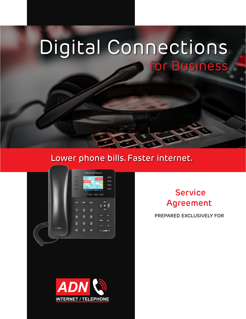# Digital Connections for Business

# Lower phone bills. Faster internet.



# **Service Agreement**

**PREPARED EXCLUSIVELY FOR**

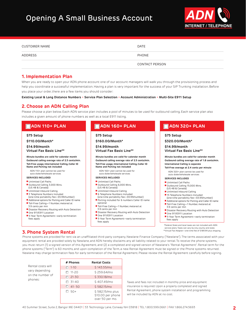# Opening A Small Business Account



| <b>CUSTOMER NAME</b> | DATE                  |
|----------------------|-----------------------|
| ADDRESS              | PHONE                 |
|                      | <b>CONTACT PERSON</b> |

### **1. Implementation Plan**

When you are ready to open your ADN phone account one of our account managers will walk you through the provisioning process and help you coordinate a successful implementation. Having a plan is very important for the success of your SIP Trunking installation. Before you place your order, there are a few items you should consider:

**Existing Local & Long Distance Numbers • Service Plan Selection • Account Administration • Multi-Site E911 Setup**

# **2. Choose an ADN Calling Plan**

Please choose a plan below. Each ADN service plan includes a pool of minutes to be used for outbound calling. Each service plan also includes a given amount of phone numbers as well as a local E911 listing.

### **N** ADN 110+ PLAN

#### **\$75 Setup**

**\$110.00/Month\***

**\$14.99/month Virtual Fax Basic Line\*\*** 

**Minute bundles are valid for calendar month Outbound calling overage rate of 2.5 cents/min. Toll-Free usage, International Calling, Caller ID Name and Porting not included**

 ADN 110+ plan cannot be used for auto dialer/wholesale services

- **SERVICES INCLUDED**
- Unlimited Call Paths
- Outbound Calling 3,000 Mins. (US 48 & Canada)
- Unlimited Inbound Calling
- 3 Telephone Numbers Included
- (one-time portability fee—\$5.99/number) ■ Additional options for Porting and Caller ID name
- Toll-Free Calling—1 Number, metered at
- 3.9 cents per min **n** Disaster Recovery Routing with Auto Detection
- One 911/E911 Location
- 5-Year Term Agreement—early termination fees apply

# **N** ADN 160+ PLAN

#### **\$75 Setup**

**\$160.00/Month\***

**\$14.99/month Virtual Fax Basic Line\*\*** 

**Minute bundles are valid for calendar month Outbound calling overage rate of 2.5 cents/min. Toll-Free usage, International Calling, Caller ID Name and Porting not included**

 ADN 160+ plan cannot be used for auto dialer/wholesale services

#### **SERVICES INCLUDED**

- Unlimited Call Paths Outbound Calling 6,000 Mins. (US 48 & Canada)
- Unlimited Inbound Calling
- 6 Telephone Numbers Included
- (one-time portability fee—\$5.99/number)
- Porting included for 6 numbers Caller ID name optional
- Toll-Free Calling-1 Number, metered at 3.9 cents per min
- **n** Disaster Recovery Routing with Auto Detection One 911/E911 Location
- 5-Year Term Agreement—early termination fees apply

# **N** ADN 320+ PLAN

#### **\$75 Setup**

**\$320.00/Month\***

**\$14.99/month Virtual Fax Basic Line\*\*** 

**Minute bundles are valid for calendar month Outbound calling overage rate of 1.8 cents/min. International Calling is separate**

**Toll-Free overage at 2.4 cents per minute** ADN 320+ plan cannot be used for auto dialer/wholesale services

**SERVICES INCLUDED**

- **N** Unlimited Call Paths
- Outbound Calling 15,000 Mins. (US 48 & Canada)
- **u** Unlimited Inbound Calling
- $\blacksquare$  15 Telephone Numbers Included (one-time portability fee—\$5.99/number)
- Additional options for Porting and Caller ID name
- Toll-Free Calling-1 Number, metered at 3.9 cents per min
- **Disaster Recovery Routing with Auto Detection** One 911/E911 Location
- 5-Year Term Agreement—early termination fees apply

\*Federal, State and local taxes are not included with ADN service plans. Taxes can vary by city, county and state \*\*Virtual Fax Adapter—one-time fee of \$189.99 plus shipping

# **3. Phone System Rental**

Phone systems are provided for rent via an unaffiliated third-party company, Newlane Finance Company ("Newlane"). The terms associated with your equipment rental are provided solely by Newlane, and ADN hereby disclaims any all liability related to your rental. To receive the phone systems, you must return (1) a signed version of this Agreement, and (2) a completed and signed version of Newlane's "Rental Agreement". Rental term for the phone systems ("Term") is 60 months, and upon completion of the Term, a new Rental Agreement must be signed or the Phone systems returned. Newlane may charge termination fees for early termination of the Rental Agreement. Please review the Rental Agreement carefully before signing.

|                                                                    | # Phones     | <b>Rental Costs</b>                                      |
|--------------------------------------------------------------------|--------------|----------------------------------------------------------|
| Rental costs will<br>vary depending<br>on the number of<br>phones: | $\Box$ 1-10  | \$143.55/mo                                              |
|                                                                    | $11 - 20$    | \$259,64/mo                                              |
|                                                                    |              | \$330,18/mo                                              |
|                                                                    | $\Box$ 31-40 | \$407.49/mo                                              |
|                                                                    | $\Box$ 41-50 | \$582,15/mo                                              |
|                                                                    | $50+$        | \$582.15/mo plus<br>\$10.00 per phone<br>over 50 per mo. |

Taxes and fees not included in monthly price and equipment insurance is required. Upon a properly completed and signed Rental Agreement, phone system installation and programming will be included by ADN at no cost.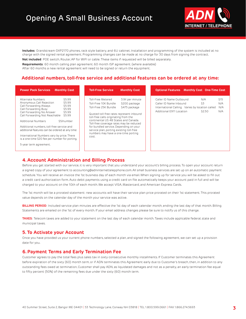# Opening A Small Business Account



**Includes**: Grandstream GXP2170 phones, rack style battery, and 6U cabinet. Installation and programming of the system is included at no charge with the signed rental agreement. Programming changes can be made at no charge for 30 days from signing the contract.

**Not included**: POE switch, Router, AP for WIFI or cable. These items if requested will be billed separately.

**Requirements**: 60 month calling plan agreement. 60 month ISP agreement. (where available)

After 60 months a new rental agreement will need to be signed or return the equipment.

### **Additional numbers, toll-free service and additional features can be ordered at any time:**

| <b>Power Pack Services</b><br><b>Monthly Cost</b>                                                                                                                                                                                                                                                                                                                                                                                                                                       |
|-----------------------------------------------------------------------------------------------------------------------------------------------------------------------------------------------------------------------------------------------------------------------------------------------------------------------------------------------------------------------------------------------------------------------------------------------------------------------------------------|
| \$5.99<br>Alternate Numbers<br>\$5,99<br>Anonymous Call Rejection<br>\$5.99<br>Call Forwarding Always<br>\$5,99<br>Call Forwarding Busy<br>\$5,99<br>Call Forwarding No Answer<br>Call Forwarding Not Reachable<br>\$5,99<br>\$5/number<br>Additional Numbers<br>Additional numbers, toll-free service and<br>additional features can be ordered at any time:<br>International Numbers vary by price. There<br>is a one-time \$20 fee per number for porting.<br>5-year term agreement. |

# **4. Account Administration and Billing Process**

Before you get started with our service, it is very important that you understand your account's billing process. To open your account return a signed copy of your agreement to accounting@adninternettelepphone.com. All small business services are set up on an automatic payment schedule. You will receive an invoice the 1st business day of each month via email. When signing up for service you will be asked to fill out a credit card authorization form. Auto debit payments using a credit card on file automatically keeps your account paid in full and will be charged to your account on the 10th of each month. We accept VISA, Mastercard, and American Express Cards.

The 1st month will be a prorated statement: new accounts will have their service plan price prorated on their 1st statement. This prorated value depends on the calendar day of the month your service was active.

**BILLING PERIOD**: Included service plan minutes are effective the 1st day of each calendar month, ending the last day of that month. Billing Statements are emailed on the 1st of every month. If your email address changes please be sure to notify us of this change.

**TAXES**: Telecom taxes are added to your statement on the last day of each calendar month. Taxes include applicable federal, state and municipal taxes.

#### **5. To Activate your Account**

Once you have provided us your current phone numbers, selected a plan, and signed the following agreement, we can set up a provision date for you.

### **6. Payment Terms and Early Termination Fee**

Customer agrees to pay the total fees plus sales tax in sixty consecutive monthly installments. If Customer terminates this Agreement before expiration of the sixty (60) month term, or if ADN terminates this Agreement early due to Customer's breach, then, in addition to any outstanding fees owed at termination, Customer shall pay ADN, as liquidated damages and not as a penalty, an early termination fee equal to fifty percent (50%) of the remaining fees due under the sixty (60) month term.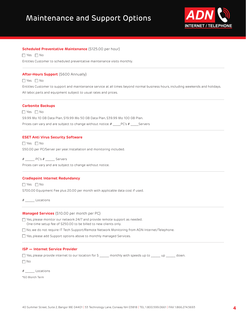# Maintenance and Support Options



#### **Scheduled Preventative Maintenance** (\$125.00 per hour)

 $\Box$  Yes  $\Box$  No

Entitles Customer to scheduled preventative maintenance visits monthly.

#### **After-Hours Support** (\$600 Annually)

 $\Box$  Yes  $\Box$  No

Entitles Customer to support and maintenance service at all times beyond normal business hours, including weekends and holidays. All labor, parts and equipment subject to usual rates and prices.

#### **Carbonite Backups**

 $\Box$  Yes  $\Box$  No \$9.99 Mo 10 GB Data Plan, \$19.99 Mo 50 GB Data Plan, \$39.99 Mo 100 GB Plan. Prices can vary and are subject to change without notice. # \_\_\_\_\_PC's # \_\_\_\_\_ Servers

#### **ESET Anti Virus Security Software**

 $\Box$  Yes  $\Box$  No \$50.00 per PC/Server per year. Installation and monitoring included.

# \_\_\_\_\_\_ PC's # \_\_\_\_\_\_ Servers

Prices can vary and are subject to change without notice.

#### **Cradlepoint Internet Redundancy**

 $\Box$  Yes  $\Box$  No \$700.00 Equipment Fee plus 20.00 per month with applicable data cost if used.

# \_\_\_\_\_\_ Locations

#### **Managed Services** (\$10.00 per month per PC)

 $\Box$  Yes, please monitor our network 24/7 and provide remote support as needed. One-time setup fee of \$250.00 to be billed to new clients only.

Tho, we do not require IT Tech Support/Remote Network Monitoring from ADN Internet/Telephone.

 $\Box$  Yes, please add Support options above to monthly managed Services.

#### **ISP — Internet Service Provider**

 $\Box$  Yes, please provide internet to our location for \$ \_\_\_\_\_ monthly with speeds up to \_\_\_\_\_\_ up \_\_\_\_\_\_ down.  $\Box$  No

|  | Locations |
|--|-----------|
|  |           |

\*60 Month Term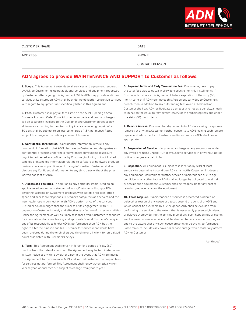

| CUSTOMER NAME | <b>DATE</b>    |
|---------------|----------------|
| ADDRESS       | PHONE          |
|               | CONTACT PERSON |

# **ADN agrees to provide MAINTENANCE AND SUPPORT to Customer as follows.**

**1. Scope.** This Agreement extends to all services and equipment rendered by ADN to Customer, including additional services and equipment requested by Customer after signing this Agreement. While ADN may provide additional services at its discretion, ADN shall be under no obligation to provide services with regard to equipment not specifically listed in this Agreement.

**2. Fees.** Customer shall pay all fees listed on the ADN "Opening a Small Business Account" Order Form. All other labor, parts and product charges will be separately invoiced to the Customer, and Customer agrees to pay all invoices according to their terms. Any invoice remaining unpaid after 30 days shall be subject to an interest charge of 1.5% per month. Rates subject to change in the ordinary course of business.

**3. Confidential Information.** "Confidential Information" refers to any non-public information that ADN discloses to Customer and designates as confidential or which, under the circumstances surrounding disclosure ought to be treated as confidential by Customer, including but not limited to tangible or intangible information relating to software or hardware products, business policies or practices, and pricing information. Customer shall not disclose any Confidential Information to any third party without the prior written consent of ADN.

**4. Access and Facilities.** In addition to any particular items listed on an applicable addendum or statement of work, Customer will supply ADN personnel working on Customer's premises with suitable facilities, office space and access to telephones, Customer's computers and servers, and the internet, for use in connection with ADN's performance of the services. Customer acknowledges that the success of its engagement with ADN depends on Customer's timely and effective satisfaction of its responsibilities under the Agreement, as well as timely responses from Customer to requests for information, decisions, testing, and approvals. Should Customer's delay in any of its responsibilities hinder ADN's performance, then ADN has the right to alter the timeline and bill Customer for services that would have been rendered during the original agreed timeline or bill client for unrealized hours associated with Customer's delays.

**5. Term.** This Agreement shall remain in force for a period of sixty (60) months from the date of execution. The Agreement may be terminated upon written notice at any time by either party. In the event that ADN terminates this Agreement for convenience, ADN shall refund Customer the prepaid fees for services not performed. This Agreement shall renew automatically from year to year; annual fees are subject to change from year to year.

**6. Payment Terms and Early Termination Fee.** Customer agrees to pay the total fees plus sales tax in sixty consecutive monthly installments. If Customer terminates this Agreement before expiration of the sixty (60) month term, or if ADN terminates this Agreement early due to Customer's breach, then, in addition to any outstanding fees owed at termination, Customer shall pay ADN, as liquidated damages and not as a penalty, an early termination fee equal to fifty percent (50%) of the remaining fees due under the sixty (60) month term.

**7. Remote Access.** Customer hereby consents to ADN accessing its systems remotely at any time. Customer further consents to ADN making such remote repairs and adjustments to hardware and/or software as ADN shall deem appropriate.

**8. Suspension of Service.** If any periodic charge or any amount due under any invoice remains unpaid, ADN may suspend service with or without notice until all charges are paid in full.

**9. Inspection.** All equipment is subject to inspection by ADN at least annually to determine its condition. ADN shall notify Customer if it deems any equipment unsuitable for further service or maintenance due to age, condition, or any other factor. ADN shall no longer be obligated to maintain or service such equipment. Customer shall be responsible for any cost to refurbish, replace or repair the equipment.

**10. Force Majeure.** If maintenance or service is prevented, hindered or delayed by reason of any cause or causes beyond the control of ADN and which cannot be overcome by due diligence, ADN shall be excused from performing the service to the extent that is necessarily prevented, hindered or delayed thereby during the continuance of any such happenings or events and the mainte- nance service shall be deemed to be suspended so long as and to the extent that any such cause prevents or delays its performance. Force majeure includes any power or service outage which materially affects ADN or Customer.

(continued)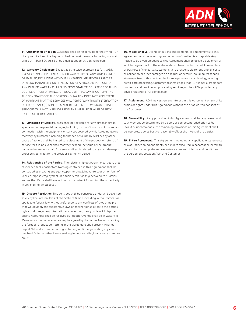

**11. Customer Notification.** Customer shall be responsible for notifying ADN of any required service, beyond scheduled maintenance, by calling our main office at 1-800-599-0662 or by email at support@ adnmaine.com.

**12. Warranty Disclaimers.** Except as otherwise expressly set forth, ADN PROVIDES NO REPRESENTATION OR WARRANTY OF ANY KIND, EXPRESS OR IMPLIED, INCLUDING WITHOUT LIMITATION IMPLIED WARRANTIES OF MERCHANTABILITY OR FITNESS FOR A PARTICULAR PURPOSE, OR ANY IMPLIED WARRANTY ARISING FROM STATUTE, COURSE OF DEALING, COURSE OF PERFORMANCE, OR USAGE OF TRADE. WITHOUT LIMITING THE GENERALITY OF THE FOREGOING: (A) ADN DOES NOT REPRESENT OR WARRANT THAT THE SERVICES WILL PERFORM WITHOUT INTERRUPTION OR ERROR; AND (B) ADN DOES NOT REPRESENT OR WARRANT THAT THE SERVICES WILL NOT INFRINGE UPON THE INTELLECTUAL PROPERTY RIGHTS OF THIRD PARTIES.

**13. Limitation of Liability.** ADN shall not be liable for any direct, indirect, special or consequential damages, including lost profits or loss of business in connection with the equipment or services covered by this Agreement. Any recovery by Customer, including for breach or failure by ADN or any other cause of action, shall be limited to replacement of the product or refund of service fees. In no event shall recovery exceed the value of the product damaged or amounts paid for services directly related to any such damages under this contract for the previous six-month period.

**14. Relationship of the Parties.** The relationship between the parties is that of independent contractors. Nothing contained in this Agreement shall be construed as creating any agency, partnership, joint venture, or other form of joint enterprise, employment, or fiduciary relationship between the Parties, and neither Party shall have authority to contract for or bind the other Party in any manner whatsoever.

**15. Dispute Resolution.** This contract shall be construed under and governed solely by the internal laws of the State of Maine, including without limitation applicable federal law, without reference to any conflicts of laws principle that would apply the substantive laws of another jurisdiction to the parties' rights or duties, or any international convention, treaty , or law. All disputes arising hereunder shall be resolved by litigation. Venue shall be in Waterville, Maine, or such other location as may be agreed by the parties. Notwithstanding the foregoing language, nothing in this agreement shall prevent Alliance Digital Networks from perfecting, enforcing, and/or adjudicating any claim of mechanic's lien or other lien or seeking injunctive relief, in any state or federal court.

**16. Miscellaneous.** All modifications, supplements, or amendments to this agreement must be in writing, and email confirmation is acceptable. Any notice to be given pursuant to this Agreement shall be delivered via email or sent by regular mail to the address shown herein or to the last known place of business of the party. Customer shall be responsible for any and all costs of collection or other damages on account of default, including reasonable attorneys' fees. If this contract includes equipment or technology relating to credit card processing, Customer acknowledges that ADN is not a credit card processor and provides no processing services, nor has ADN provided any advice relating to PCI compliance.

**17. Assignment.** ADN may assign any interest in this Agreement or any of its duties or rights under this Agreement, without the prior written consent of the Customer.

**18. Severability.** If any provision of this Agreement shall for any reason and to any extent be determined by a court of competent jurisdiction to be invalid or unenforceable, the remaining provisions of this Agreement shall be interpreted so as best to reasonably effect the intent of the parties.

**19. Entire Agreement.** This Agreement, including any applicable statements of work, addenda, amendments, or exhibits executed in accordance herewith, constitute the complete and exclusive statement of terms and conditions of the agreement between ADN and Customer.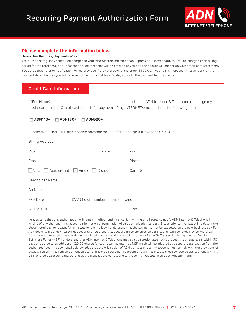

### **Please complete the information below.**

#### **Here's How Recurring Payments Work:**

You authorize regularly scheduled charges to your Visa, MasterCard, American Express or Discover card. You will be charged each billing period for the total amount due for that period. A receipt will be emailed to you and the charge will appear on your credit card statement. You agree that no prior notification will be provided if the total payment is under \$300.00. If your bill is more than that amount, or the payment date changes, you will receive notice from us at least 10 days prior to the payment being collected.

### **Credit Card Information**

| I, (Full Name)<br>, authorize ADN Internet & Telephone to charge my<br>credit card on the 10th of each month for payment of my INTERNET/phone bill for the following plan:                                                                                                                                                                                                                                                                                                                                                                                                                                                                                                                                                                                                                                                                                                                                                                                                                                                                                                                                                                                                                                                                                                                  |  |             |  |  |
|---------------------------------------------------------------------------------------------------------------------------------------------------------------------------------------------------------------------------------------------------------------------------------------------------------------------------------------------------------------------------------------------------------------------------------------------------------------------------------------------------------------------------------------------------------------------------------------------------------------------------------------------------------------------------------------------------------------------------------------------------------------------------------------------------------------------------------------------------------------------------------------------------------------------------------------------------------------------------------------------------------------------------------------------------------------------------------------------------------------------------------------------------------------------------------------------------------------------------------------------------------------------------------------------|--|-------------|--|--|
| ADN110+<br>ADN160+<br>ADN320+<br>г                                                                                                                                                                                                                                                                                                                                                                                                                                                                                                                                                                                                                                                                                                                                                                                                                                                                                                                                                                                                                                                                                                                                                                                                                                                          |  |             |  |  |
| I understand that I will only receive advance notice of the charge if it exceeds \$500.00.                                                                                                                                                                                                                                                                                                                                                                                                                                                                                                                                                                                                                                                                                                                                                                                                                                                                                                                                                                                                                                                                                                                                                                                                  |  |             |  |  |
| <b>Billing Address</b>                                                                                                                                                                                                                                                                                                                                                                                                                                                                                                                                                                                                                                                                                                                                                                                                                                                                                                                                                                                                                                                                                                                                                                                                                                                                      |  |             |  |  |
| State<br>City                                                                                                                                                                                                                                                                                                                                                                                                                                                                                                                                                                                                                                                                                                                                                                                                                                                                                                                                                                                                                                                                                                                                                                                                                                                                               |  | Zip         |  |  |
| Email                                                                                                                                                                                                                                                                                                                                                                                                                                                                                                                                                                                                                                                                                                                                                                                                                                                                                                                                                                                                                                                                                                                                                                                                                                                                                       |  | Phone       |  |  |
| MasterCard Amex<br>    Visa<br>Discover                                                                                                                                                                                                                                                                                                                                                                                                                                                                                                                                                                                                                                                                                                                                                                                                                                                                                                                                                                                                                                                                                                                                                                                                                                                     |  | Card Number |  |  |
| Cardholder Name                                                                                                                                                                                                                                                                                                                                                                                                                                                                                                                                                                                                                                                                                                                                                                                                                                                                                                                                                                                                                                                                                                                                                                                                                                                                             |  |             |  |  |
| Co Name                                                                                                                                                                                                                                                                                                                                                                                                                                                                                                                                                                                                                                                                                                                                                                                                                                                                                                                                                                                                                                                                                                                                                                                                                                                                                     |  |             |  |  |
| CVV (3 digit number on back of card)<br>Exp. Date                                                                                                                                                                                                                                                                                                                                                                                                                                                                                                                                                                                                                                                                                                                                                                                                                                                                                                                                                                                                                                                                                                                                                                                                                                           |  |             |  |  |
| <b>SIGNATURE</b>                                                                                                                                                                                                                                                                                                                                                                                                                                                                                                                                                                                                                                                                                                                                                                                                                                                                                                                                                                                                                                                                                                                                                                                                                                                                            |  | Date        |  |  |
| I understand that this authorization will remain in effect until I cancel it in writing, and I agree to notify ADN Internet & Telephone in<br>writing of any changes in my account information or termination of this authorization at least 15 days prior to the next billing date. If the<br>above noted payment dates fall on a weekend or holiday, I understand that the payments may be executed on the next business day. For<br>ACH debits to my checking/savings account, I understand that because these are electronic transactions, these funds may be withdrawn<br>from my account as soon as the above noted periodic transaction dates. In the case of an ACH Transaction being rejected for Non<br>Sufficient Funds (NSF) I understand that ADN Internet & Telephone may at its discretion attempt to process the charge again within 30<br>days, and agree to an additional \$20.00 charge for each attempt returned NSF which will be initiated as a separate transaction from the<br>authorized recurring payment. I acknowledge that the origination of ACH transactions to my account must comply with the provisions of<br>U.S. law. I certify that I am an authorized user of this credit card/bank account and will not dispute these scheduled transactions with my |  |             |  |  |

bank or credit card company; so long as the transactions correspond to the terms indicated in this authorization form.